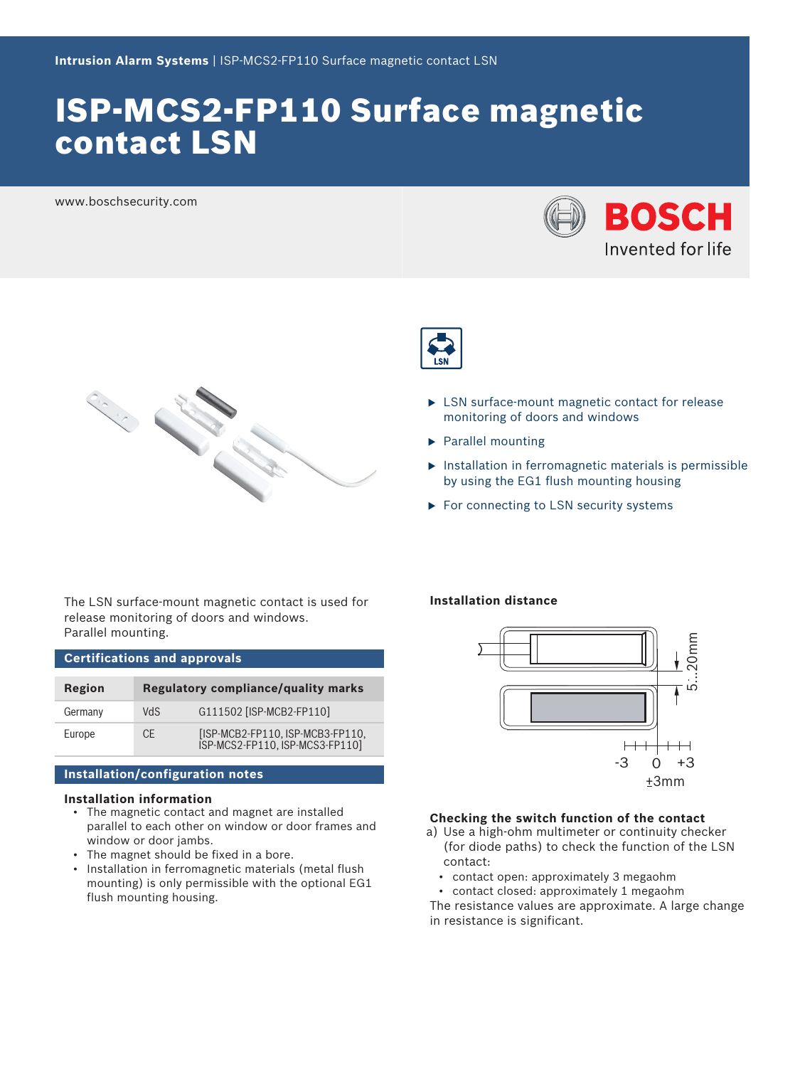# ISP-MCS2-FP110 Surface magnetic contact LSN

www.boschsecurity.com





- $\blacktriangleright$  LSN surface-mount magnetic contact for release monitoring of doors and windows
- $\blacktriangleright$  Parallel mounting
- $\triangleright$  Installation in ferromagnetic materials is permissible by using the EG1 flush mounting housing
- $\blacktriangleright$  For connecting to LSN security systems

The LSN surface-mount magnetic contact is used for release monitoring of doors and windows. Parallel mounting.

CONTRACTOR

**Certifications and approvals Region Regulatory compliance/quality marks** Germany VdS G111502 [ISP-MCB2-FP110] Europe CE [ISP-MCB2-FP110, ISP-MCB3-FP110, ISP-MCS2-FP110, ISP-MCS3-FP110]

# **Installation/configuration notes**

# **Installation information**

- The magnetic contact and magnet are installed parallel to each other on window or door frames and window or door jambs.
- The magnet should be fixed in a bore.
- Installation in ferromagnetic materials (metal flush mounting) is only permissible with the optional EG1 flush mounting housing.

# **Installation distance**



# **Checking the switch function of the contact**

- a) Use a high-ohm multimeter or continuity checker (for diode paths) to check the function of the LSN contact:
	- contact open: approximately 3 megaohm
	- contact closed: approximately 1 megaohm

The resistance values are approximate. A large change in resistance is significant.